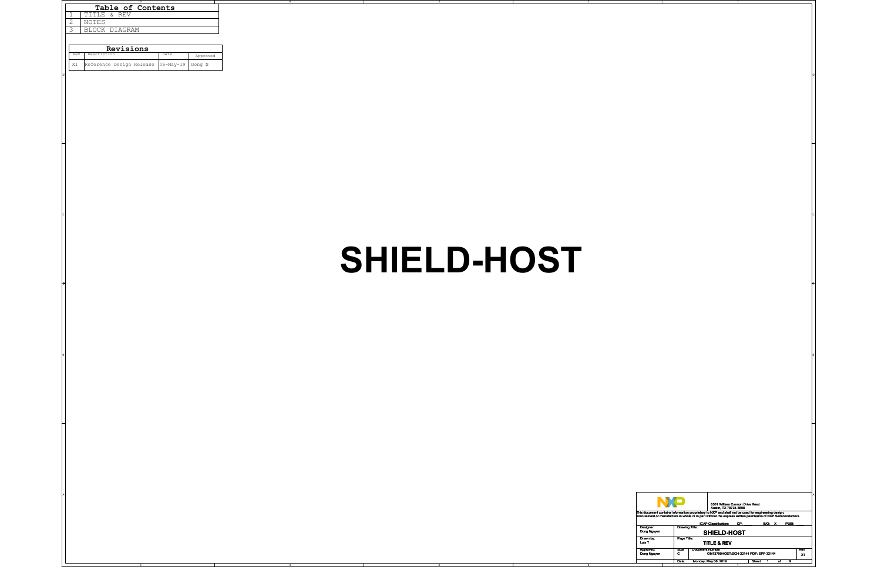2

| TITLE & REV<br>1<br>NOTES                           |             |                                                                                                                                                                                                                                                                                |
|-----------------------------------------------------|-------------|--------------------------------------------------------------------------------------------------------------------------------------------------------------------------------------------------------------------------------------------------------------------------------|
| 2<br>BLOCK DIAGRAM<br>3                             |             |                                                                                                                                                                                                                                                                                |
|                                                     |             |                                                                                                                                                                                                                                                                                |
| Revisions                                           |             |                                                                                                                                                                                                                                                                                |
| Description<br>Date<br>Rev<br>Approved              |             |                                                                                                                                                                                                                                                                                |
| X1 Reference Design Release<br>$ 06-May-19 $ Dong N |             |                                                                                                                                                                                                                                                                                |
|                                                     |             |                                                                                                                                                                                                                                                                                |
|                                                     |             |                                                                                                                                                                                                                                                                                |
|                                                     |             |                                                                                                                                                                                                                                                                                |
|                                                     |             |                                                                                                                                                                                                                                                                                |
|                                                     |             |                                                                                                                                                                                                                                                                                |
|                                                     |             |                                                                                                                                                                                                                                                                                |
|                                                     |             |                                                                                                                                                                                                                                                                                |
|                                                     |             |                                                                                                                                                                                                                                                                                |
|                                                     |             |                                                                                                                                                                                                                                                                                |
|                                                     |             |                                                                                                                                                                                                                                                                                |
|                                                     |             |                                                                                                                                                                                                                                                                                |
|                                                     |             |                                                                                                                                                                                                                                                                                |
|                                                     |             |                                                                                                                                                                                                                                                                                |
|                                                     |             |                                                                                                                                                                                                                                                                                |
|                                                     |             |                                                                                                                                                                                                                                                                                |
|                                                     |             |                                                                                                                                                                                                                                                                                |
|                                                     |             |                                                                                                                                                                                                                                                                                |
|                                                     |             |                                                                                                                                                                                                                                                                                |
|                                                     |             |                                                                                                                                                                                                                                                                                |
|                                                     | SHIELD-HOST |                                                                                                                                                                                                                                                                                |
|                                                     |             |                                                                                                                                                                                                                                                                                |
|                                                     |             |                                                                                                                                                                                                                                                                                |
|                                                     |             |                                                                                                                                                                                                                                                                                |
|                                                     |             |                                                                                                                                                                                                                                                                                |
|                                                     |             |                                                                                                                                                                                                                                                                                |
|                                                     |             |                                                                                                                                                                                                                                                                                |
|                                                     |             |                                                                                                                                                                                                                                                                                |
|                                                     |             |                                                                                                                                                                                                                                                                                |
|                                                     |             |                                                                                                                                                                                                                                                                                |
|                                                     |             |                                                                                                                                                                                                                                                                                |
|                                                     |             |                                                                                                                                                                                                                                                                                |
|                                                     |             |                                                                                                                                                                                                                                                                                |
|                                                     |             |                                                                                                                                                                                                                                                                                |
|                                                     |             |                                                                                                                                                                                                                                                                                |
|                                                     |             |                                                                                                                                                                                                                                                                                |
|                                                     |             |                                                                                                                                                                                                                                                                                |
|                                                     |             |                                                                                                                                                                                                                                                                                |
|                                                     |             |                                                                                                                                                                                                                                                                                |
|                                                     |             |                                                                                                                                                                                                                                                                                |
|                                                     |             |                                                                                                                                                                                                                                                                                |
|                                                     |             |                                                                                                                                                                                                                                                                                |
|                                                     |             |                                                                                                                                                                                                                                                                                |
|                                                     |             | <b>NP</b>                                                                                                                                                                                                                                                                      |
|                                                     |             | 6501 William Cannon Drive West<br>Austin, TX 78735-8598<br>This document contains information proprietary to NXP and shall not be used for engineering design,<br>procurement or manufacture in whole or in part without the express written permission of NXP Semiconductors. |
|                                                     |             | ICAP Classification: CP:<br>IUO: X PUBI:                                                                                                                                                                                                                                       |
|                                                     |             | Drawing Title:<br>Designer:<br>Dong Nguyen<br>SHIELD-HOST                                                                                                                                                                                                                      |
|                                                     |             | Drawn by:<br>Luis T<br>Page Title:<br><b>TITLE &amp; REV</b>                                                                                                                                                                                                                   |
|                                                     |             | Document Number<br>OM13790HOST:SCH-32144 PDF: SPF-32144<br>Approved:<br>Dong Nguyen<br>Size<br>C<br>Rev<br>X1                                                                                                                                                                  |
| 4                                                   |             | Date: Monday, May 06, 2019<br>Sheet 1 of 9                                                                                                                                                                                                                                     |

## **SHIELD-HOST**

| Table of Contents |                |                          |                   |          |  |
|-------------------|----------------|--------------------------|-------------------|----------|--|
|                   | 1              | TITLE & REV              |                   |          |  |
|                   | $\overline{2}$ | <b>NOTES</b>             |                   |          |  |
|                   | 3              | BLOCK DIAGRAM            |                   |          |  |
|                   |                |                          |                   |          |  |
|                   | Revisions      |                          |                   |          |  |
|                   | Rev            | Description              | Date              | Approved |  |
|                   | X1             | Reference Design Release | $ 06 - May - 19 $ | Dong N   |  |

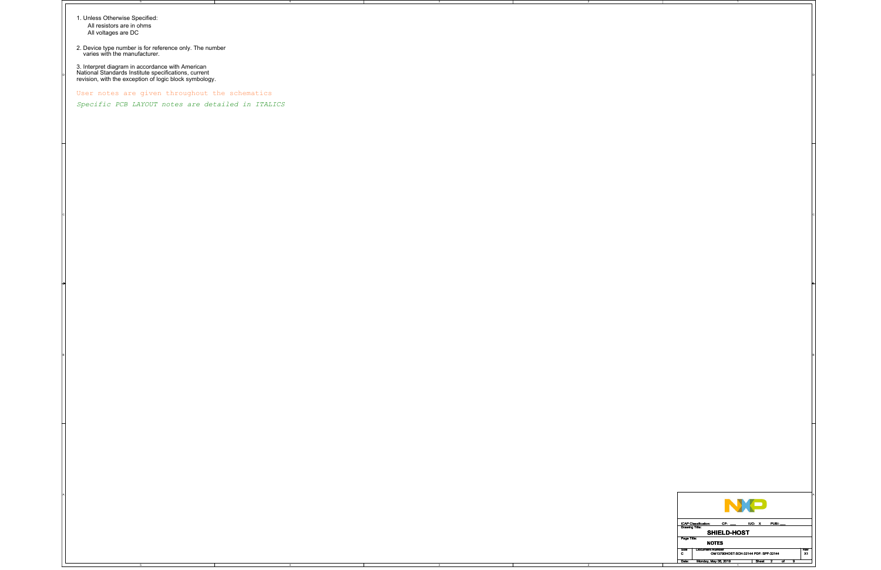4

2

2

C

A

1. Unless Otherwise Specified: All resistors are in ohms All voltages are DC

2. Device type number is for reference only. The number varies with the manufacturer.

3. Interpret diagram in accordance with American National Standards Institute specifications, current revision, with the exception of logic block symbology.



User notes are given throughout the schematics

*Specific PCB LAYOUT notes are detailed in ITALICS*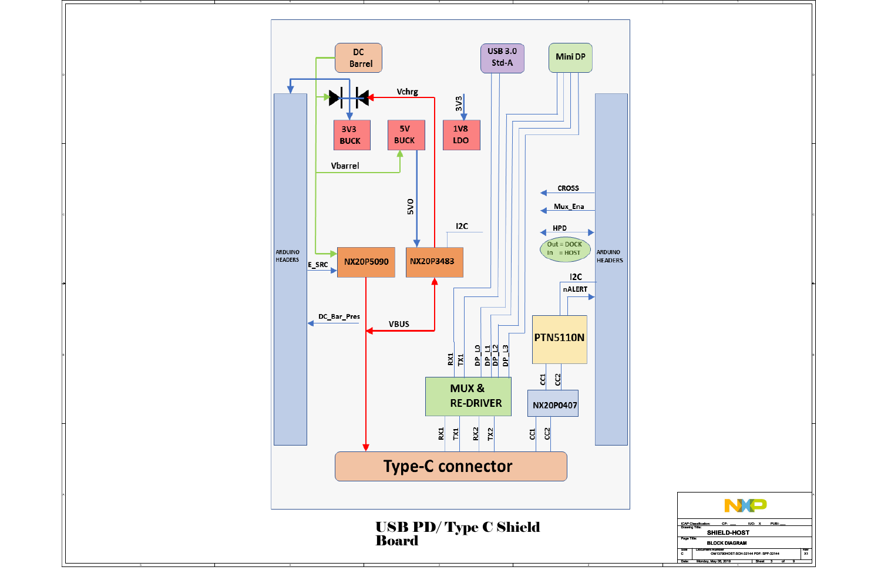

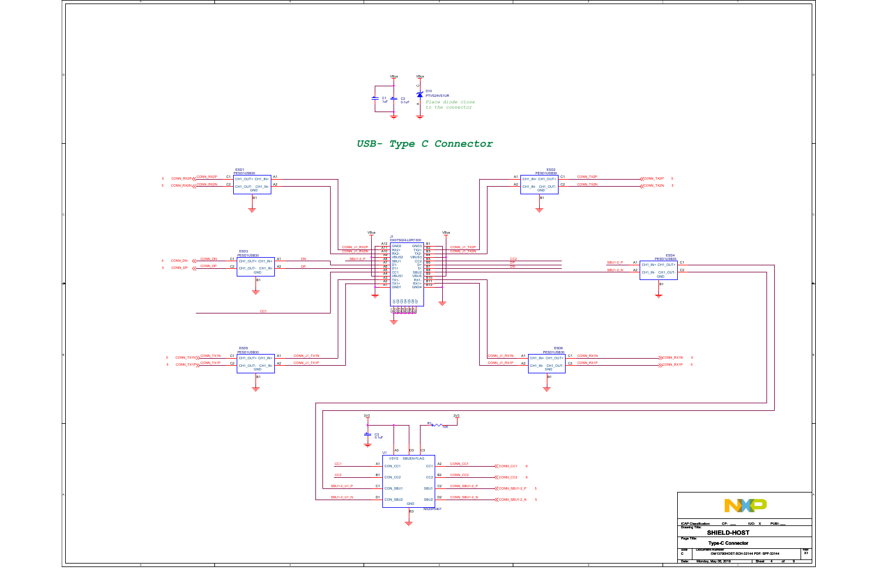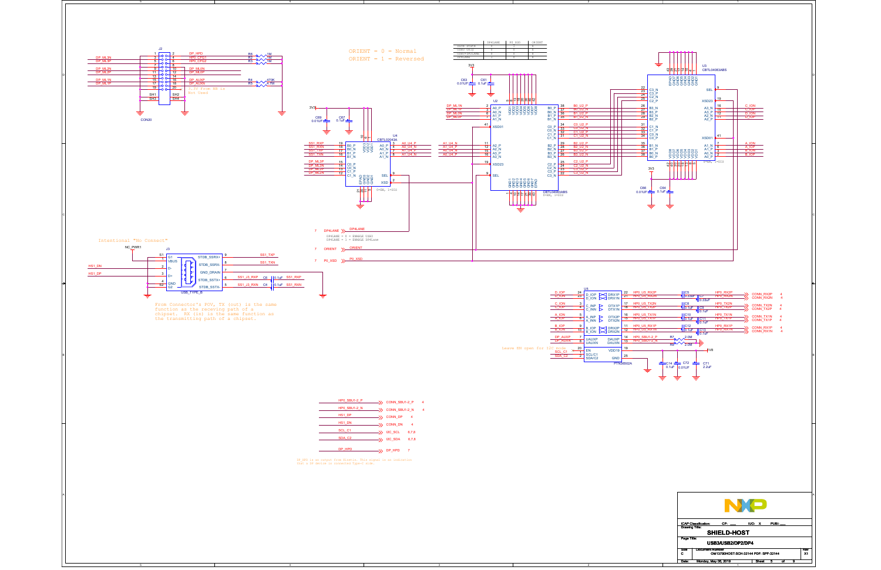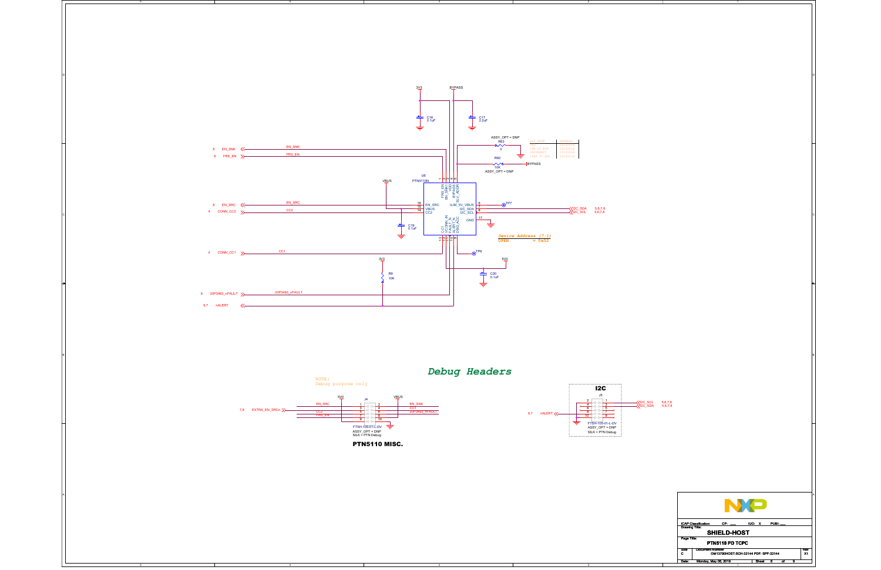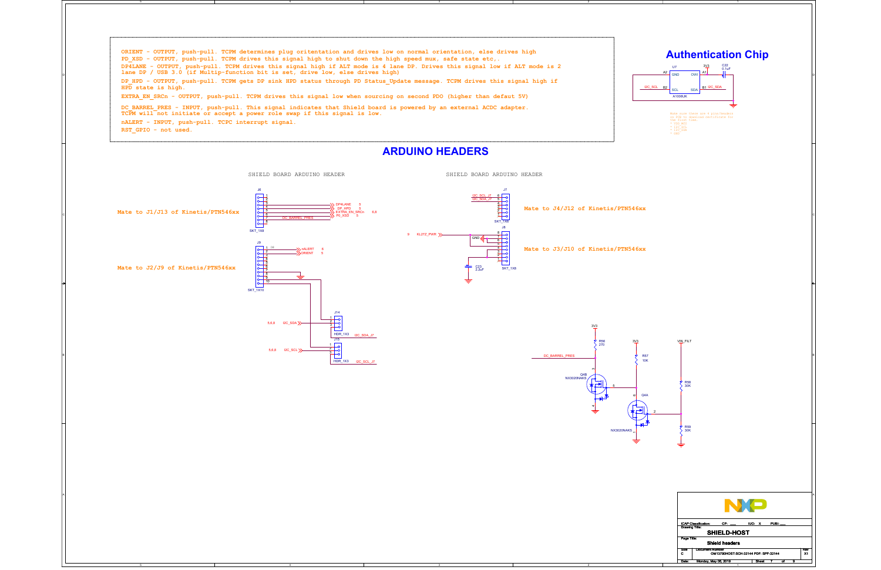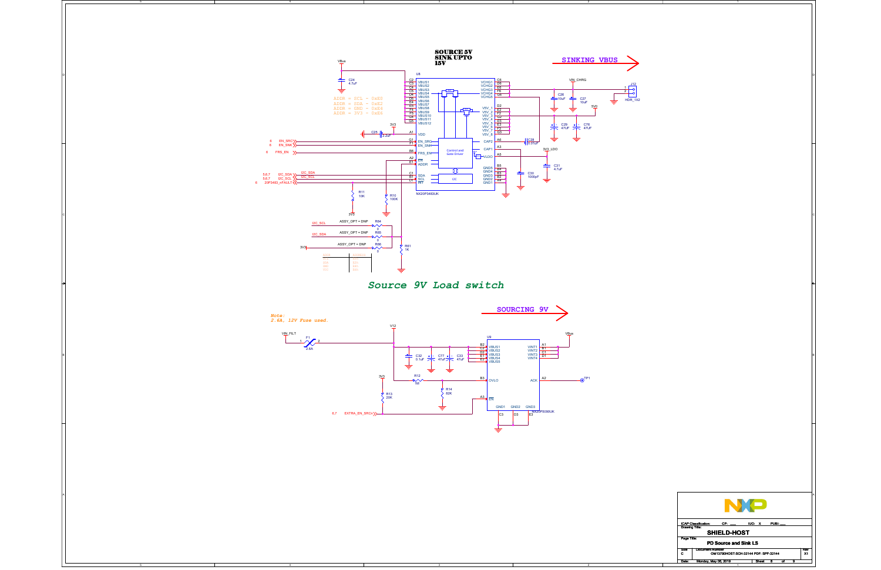